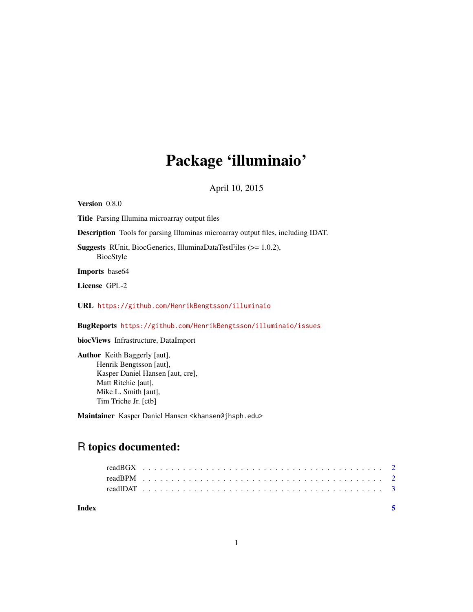## Package 'illuminaio'

April 10, 2015

Version 0.8.0 Title Parsing Illumina microarray output files Description Tools for parsing Illuminas microarray output files, including IDAT. Suggests RUnit, BiocGenerics, IlluminaDataTestFiles (>= 1.0.2), BiocStyle Imports base64 License GPL-2 URL <https://github.com/HenrikBengtsson/illuminaio> BugReports <https://github.com/HenrikBengtsson/illuminaio/issues> biocViews Infrastructure, DataImport Author Keith Baggerly [aut], Henrik Bengtsson [aut],

Kasper Daniel Hansen [aut, cre], Matt Ritchie [aut], Mike L. Smith [aut], Tim Triche Jr. [ctb]

Maintainer Kasper Daniel Hansen <khansen@jhsph.edu>

### R topics documented:

| Index |  |  |  |  |  |  |  |  |  |  |  |  |  |  |  |  |  |  |  |  |  |  |  |
|-------|--|--|--|--|--|--|--|--|--|--|--|--|--|--|--|--|--|--|--|--|--|--|--|
|       |  |  |  |  |  |  |  |  |  |  |  |  |  |  |  |  |  |  |  |  |  |  |  |
|       |  |  |  |  |  |  |  |  |  |  |  |  |  |  |  |  |  |  |  |  |  |  |  |
|       |  |  |  |  |  |  |  |  |  |  |  |  |  |  |  |  |  |  |  |  |  |  |  |
|       |  |  |  |  |  |  |  |  |  |  |  |  |  |  |  |  |  |  |  |  |  |  |  |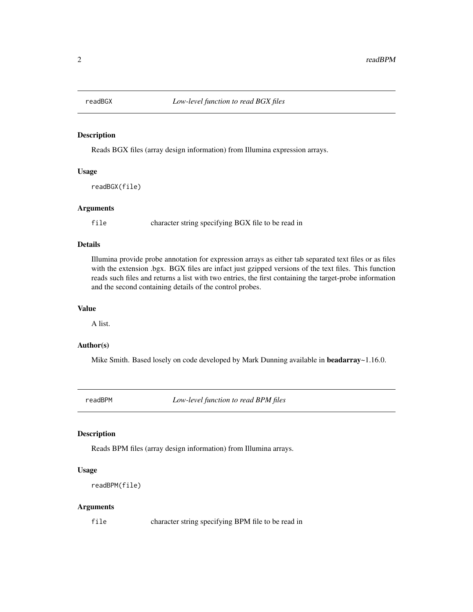<span id="page-1-0"></span>

#### Description

Reads BGX files (array design information) from Illumina expression arrays.

#### Usage

readBGX(file)

#### Arguments

file character string specifying BGX file to be read in

#### Details

Illumina provide probe annotation for expression arrays as either tab separated text files or as files with the extension .bgx. BGX files are infact just gzipped versions of the text files. This function reads such files and returns a list with two entries, the first containing the target-probe information and the second containing details of the control probes.

#### Value

A list.

#### Author(s)

Mike Smith. Based losely on code developed by Mark Dunning available in **beadarray** $\sim$ 1.16.0.

readBPM *Low-level function to read BPM files*

#### Description

Reads BPM files (array design information) from Illumina arrays.

#### Usage

```
readBPM(file)
```
#### Arguments

file character string specifying BPM file to be read in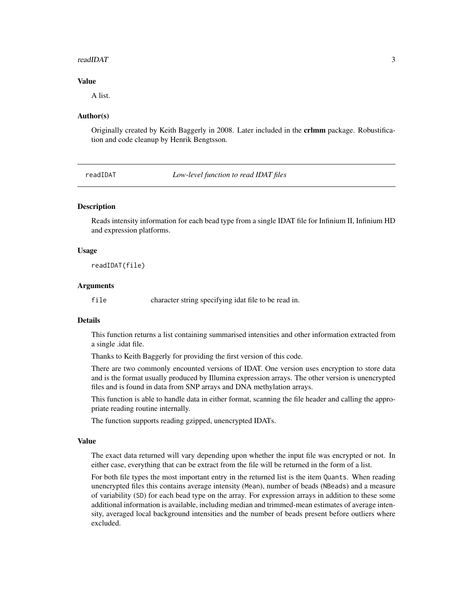#### <span id="page-2-0"></span>readIDAT 3

#### Value

A list.

#### Author(s)

Originally created by Keith Baggerly in 2008. Later included in the crlmm package. Robustification and code cleanup by Henrik Bengtsson.

readIDAT *Low-level function to read IDAT files*

#### Description

Reads intensity information for each bead type from a single IDAT file for Infinium II, Infinium HD and expression platforms.

#### Usage

readIDAT(file)

#### Arguments

file character string specifying idat file to be read in.

#### Details

This function returns a list containing summarised intensities and other information extracted from a single .idat file.

Thanks to Keith Baggerly for providing the first version of this code.

There are two commonly encounted versions of IDAT. One version uses encryption to store data and is the format usually produced by Illumina expression arrays. The other version is unencrypted files and is found in data from SNP arrays and DNA methylation arrays.

This function is able to handle data in either format, scanning the file header and calling the appropriate reading routine internally.

The function supports reading gzipped, unencrypted IDATs.

#### Value

The exact data returned will vary depending upon whether the input file was encrypted or not. In either case, everything that can be extract from the file will be returned in the form of a list.

For both file types the most important entry in the returned list is the item Quants. When reading unencrypted files this contains average intensity (Mean), number of beads (NBeads) and a measure of variability (SD) for each bead type on the array. For expression arrays in addition to these some additional information is available, including median and trimmed-mean estimates of average intensity, averaged local background intensities and the number of beads present before outliers where excluded.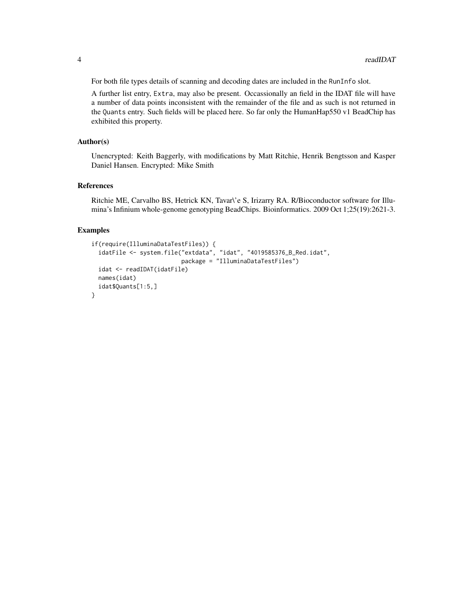For both file types details of scanning and decoding dates are included in the RunInfo slot.

A further list entry, Extra, may also be present. Occassionally an field in the IDAT file will have a number of data points inconsistent with the remainder of the file and as such is not returned in the Quants entry. Such fields will be placed here. So far only the HumanHap550 v1 BeadChip has exhibited this property.

#### Author(s)

Unencrypted: Keith Baggerly, with modifications by Matt Ritchie, Henrik Bengtsson and Kasper Daniel Hansen. Encrypted: Mike Smith

#### References

Ritchie ME, Carvalho BS, Hetrick KN, Tavar\'e S, Irizarry RA. R/Bioconductor software for Illumina's Infinium whole-genome genotyping BeadChips. Bioinformatics. 2009 Oct 1;25(19):2621-3.

#### Examples

```
if(require(IlluminaDataTestFiles)) {
 idatFile <- system.file("extdata", "idat", "4019585376_B_Red.idat",
                          package = "IlluminaDataTestFiles")
 idat <- readIDAT(idatFile)
 names(idat)
 idat$Quants[1:5,]
}
```